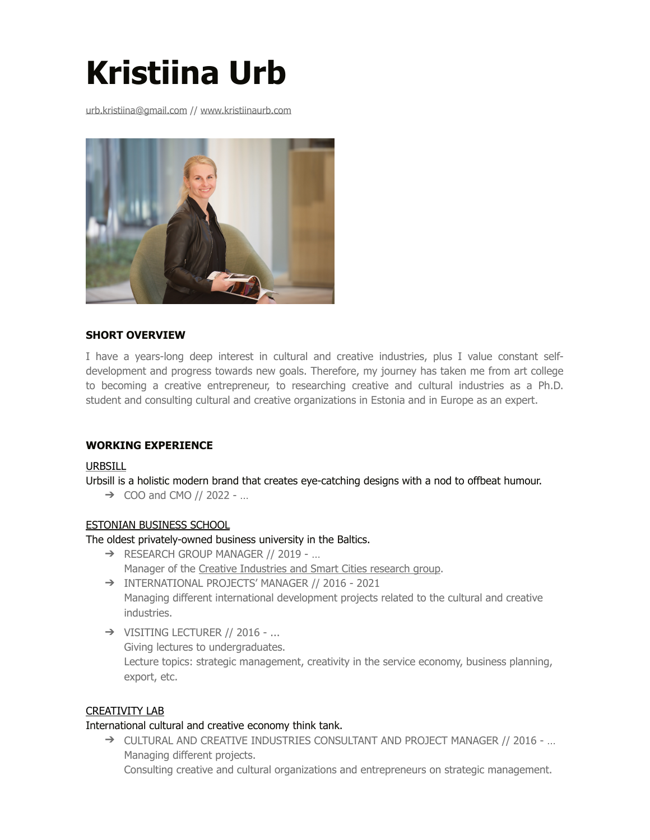# **Kristiina Urb**

urb.kristiina@gmail.com /[/ www.kristiinaurb.com](http://www.kristiinaurb.com)



# **SHORT OVERVIEW**

I have a years-long deep interest in cultural and creative industries, plus I value constant selfdevelopment and progress towards new goals. Therefore, my journey has taken me from art college to becoming a creative entrepreneur, to researching creative and cultural industries as a Ph.D. student and consulting cultural and creative organizations in Estonia and in Europe as an expert.

# **WORKING EXPERIENCE**

#### [URBSILL](https://www.urbsill.com/)

Urbsill is a holistic modern brand that creates eye-catching designs with a nod to offbeat humour.

 $\rightarrow$  COO and CMO // 2022 - ...

#### [ESTONIAN BUSINESS SCHOOL](https://ebs.ee/en)

The oldest privately-owned business university in the Baltics.

- ➔ RESEARCH GROUP MANAGER // 2019 … Manager of th[e Creative Industries and Smart Cities research group](https://ebs.ee/en/oppekava/research-group-creative-industries-and-smart-cities).
- ➔ INTERNATIONAL PROJECTS' MANAGER // 2016 2021 Managing different international development projects related to the cultural and creative industries.
- ➔ VISITING LECTURER // 2016 ... Giving lectures to undergraduates. Lecture topics: strategic management, creativity in the service economy, business planning, export, etc.

# [CREATIVITY LAB](http://www.creativitylab.ee/en)

#### International cultural and creative economy think tank.

➔ CULTURAL AND CREATIVE INDUSTRIES CONSULTANT AND PROJECT MANAGER // 2016 - … Managing different projects.

Consulting creative and cultural organizations and entrepreneurs on strategic management.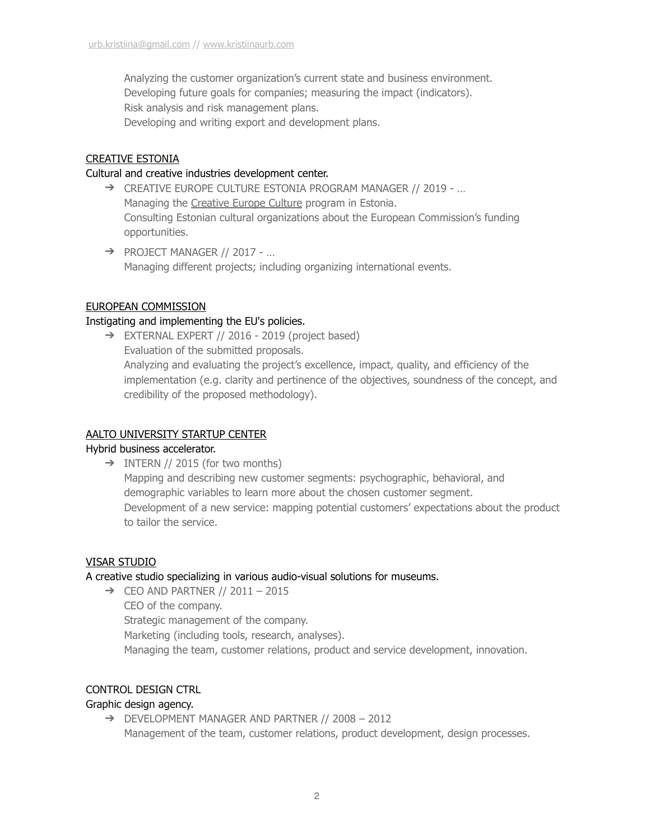Analyzing the customer organization's current state and business environment. Developing future goals for companies; measuring the impact (indicators). Risk analysis and risk management plans. Developing and writing export and development plans.

# [CREATIVE ESTONIA](https://www.looveesti.ee/en/)

## Cultural and creative industries development center.

- ➔ CREATIVE EUROPE CULTURE ESTONIA PROGRAM MANAGER // 2019 … Managing the [Creative Europe Culture](https://ec.europa.eu/programmes/creative-europe/) program in Estonia. Consulting Estonian cultural organizations about the European Commission's funding opportunities.
- ➔ PROJECT MANAGER // 2017 … Managing different projects; including organizing international events.

## [EUROPEAN COMMISSION](https://ec.europa.eu/info/index_en)

# Instigating and implementing the EU's policies.

➔ EXTERNAL EXPERT // 2016 - 2019 (project based) Evaluation of the submitted proposals. Analyzing and evaluating the project's excellence, impact, quality, and efficiency of the implementation (e.g. clarity and pertinence of the objectives, soundness of the concept, and credibility of the proposed methodology).

# [AALTO UNIVERSITY STARTUP CENTER](https://startupcenter.aalto.fi/)

#### Hybrid business accelerator.

 $\rightarrow$  INTERN // 2015 (for two months) Mapping and describing new customer segments: psychographic, behavioral, and demographic variables to learn more about the chosen customer segment. Development of a new service: mapping potential customers' expectations about the product to tailor the service.

# [VISAR STUDIO](http://www.visarstudio.com/)

# A creative studio specializing in various audio-visual solutions for museums.

 $\rightarrow$  CEO AND PARTNER // 2011 - 2015 CEO of the company. Strategic management of the company. Marketing (including tools, research, analyses). Managing the team, customer relations, product and service development, innovation.

#### CONTROL DESIGN CTRL

# Graphic design agency.

➔ DEVELOPMENT MANAGER AND PARTNER // 2008 – 2012 Management of the team, customer relations, product development, design processes.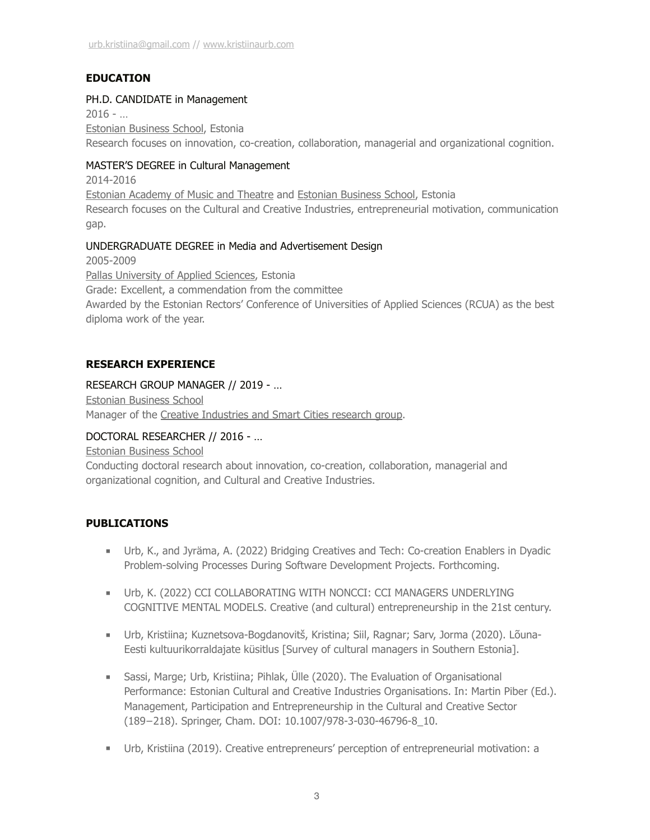# **EDUCATION**

## PH.D. CANDIDATE in Management

 $2016 - ...$ [Estonian Business School,](https://ebs.ee/en) Estonia Research focuses on innovation, co-creation, collaboration, managerial and organizational cognition.

## MASTER'S DEGREE in Cultural Management

2014-2016

[Estonian Academy of Music and Theatre](https://ema.edu.ee/en/) an[d Estonian Business School](https://ebs.ee/en), Estonia

Research focuses on the Cultural and Creative Industries, entrepreneurial motivation, communication gap.

#### UNDERGRADUATE DEGREE in Media and Advertisement Design

2005-2009

[Pallas University of Applied Sciences](https://www.artcol.ee/en/), Estonia

Grade: Excellent, a commendation from the committee

Awarded by the Estonian Rectors' Conference of Universities of Applied Sciences (RCUA) as the best diploma work of the year.

## **RESEARCH EXPERIENCE**

## RESEARCH GROUP MANAGER // 2019 - …

[Estonian Business School](https://ebs.ee/en) Manager of the Creative Industries and Smart Cities research group.

## DOCTORAL RESEARCHER // 2016 - …

[Estonian Business School](https://ebs.ee/en)

Conducting doctoral research about innovation, co-creation, collaboration, managerial and organizational cognition, and Cultural and Creative Industries.

# **PUBLICATIONS**

- Urb, K., and Jyräma, A. (2022) Bridging Creatives and Tech: Co-creation Enablers in Dyadic Problem-solving Processes During Software Development Projects. Forthcoming.
- Urb, K. (2022) CCI COLLABORATING WITH NONCCI: CCI MANAGERS UNDERLYING COGNITIVE MENTAL MODELS. Creative (and cultural) entrepreneurship in the 21st century.
- Urb, Kristiina; Kuznetsova-Bogdanovitš, Kristina; Siil, Ragnar; Sarv, Jorma (2020). Lõuna-Eesti kultuurikorraldajate küsitlus [Survey of cultural managers in Southern Estonia].
- Sassi, Marge; Urb, Kristiina; Pihlak, Ülle (2020). The Evaluation of Organisational Performance: Estonian Cultural and Creative Industries Organisations. In: Martin Piber (Ed.). Management, Participation and Entrepreneurship in the Cultural and Creative Sector (189−218). Springer, Cham. DOI: 10.1007/978-3-030-46796-8\_10.
- Urb, Kristiina (2019). Creative entrepreneurs' perception of entrepreneurial motivation: a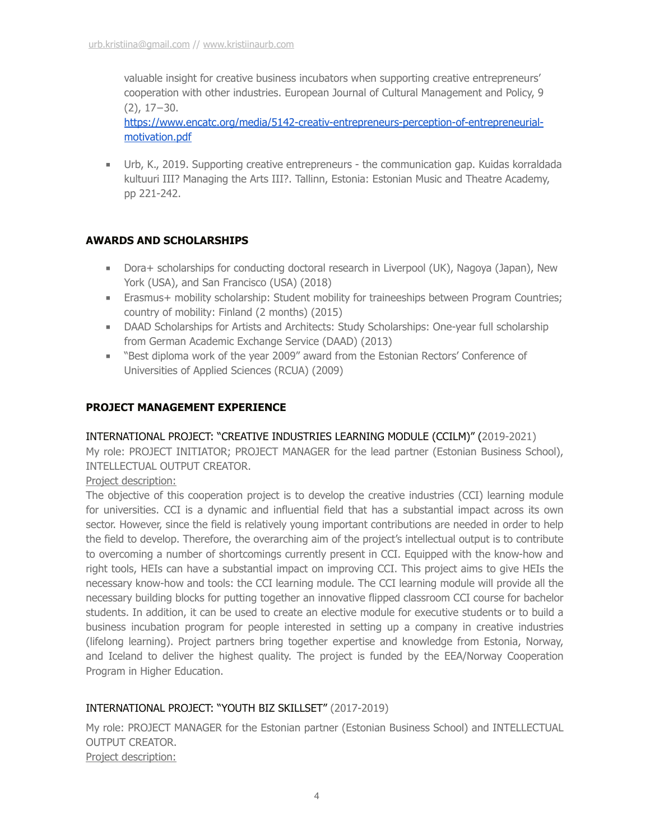valuable insight for creative business incubators when supporting creative entrepreneurs' cooperation with other industries. European Journal of Cultural Management and Policy, 9 (2), 17−30.

[https://www.encatc.org/media/5142-creativ-entrepreneurs-perception-of-entrepreneurial](https://www.encatc.org/media/5142-creativ-entrepreneurs-perception-of-entrepreneurial-motivation.pdf)[motivation.pdf](https://www.encatc.org/media/5142-creativ-entrepreneurs-perception-of-entrepreneurial-motivation.pdf)

■ Urb, K., 2019. Supporting creative entrepreneurs - the communication gap. Kuidas korraldada kultuuri III? Managing the Arts III?. Tallinn, Estonia: Estonian Music and Theatre Academy, pp 221-242.

# **AWARDS AND SCHOLARSHIPS**

- Dora+ scholarships for conducting doctoral research in Liverpool (UK), Nagoya (Japan), New York (USA), and San Francisco (USA) (2018)
- Erasmus+ mobility scholarship: Student mobility for traineeships between Program Countries; country of mobility: Finland (2 months) (2015)
- DAAD Scholarships for Artists and Architects: Study Scholarships: One-year full scholarship from German Academic Exchange Service (DAAD) (2013)
- "Best diploma work of the year 2009" award from the Estonian Rectors' Conference of Universities of Applied Sciences (RCUA) (2009)

# **PROJECT MANAGEMENT EXPERIENCE**

# INTERNATIONAL PROJECT: "CREATIVE INDUSTRIES LEARNING MODULE (CCILM)" (2019-2021)

My role: PROJECT INITIATOR; PROJECT MANAGER for the lead partner (Estonian Business School), INTELLECTUAL OUTPUT CREATOR.

# Project description:

The objective of this cooperation project is to develop the creative industries (CCI) learning module for universities. CCI is a dynamic and influential field that has a substantial impact across its own sector. However, since the field is relatively young important contributions are needed in order to help the field to develop. Therefore, the overarching aim of the project's intellectual output is to contribute to overcoming a number of shortcomings currently present in CCI. Equipped with the know-how and right tools, HEIs can have a substantial impact on improving CCI. This project aims to give HEIs the necessary know-how and tools: the CCI learning module. The CCI learning module will provide all the necessary building blocks for putting together an innovative flipped classroom CCI course for bachelor students. In addition, it can be used to create an elective module for executive students or to build a business incubation program for people interested in setting up a company in creative industries (lifelong learning). Project partners bring together expertise and knowledge from Estonia, Norway, and Iceland to deliver the highest quality. The project is funded by the EEA/Norway Cooperation Program in Higher Education.

# INTERNATIONAL PROJECT: "YOUTH BIZ SKILLSET" (2017-2019)

My role: PROJECT MANAGER for the Estonian partner (Estonian Business School) and INTELLECTUAL OUTPUT CREATOR. Project description: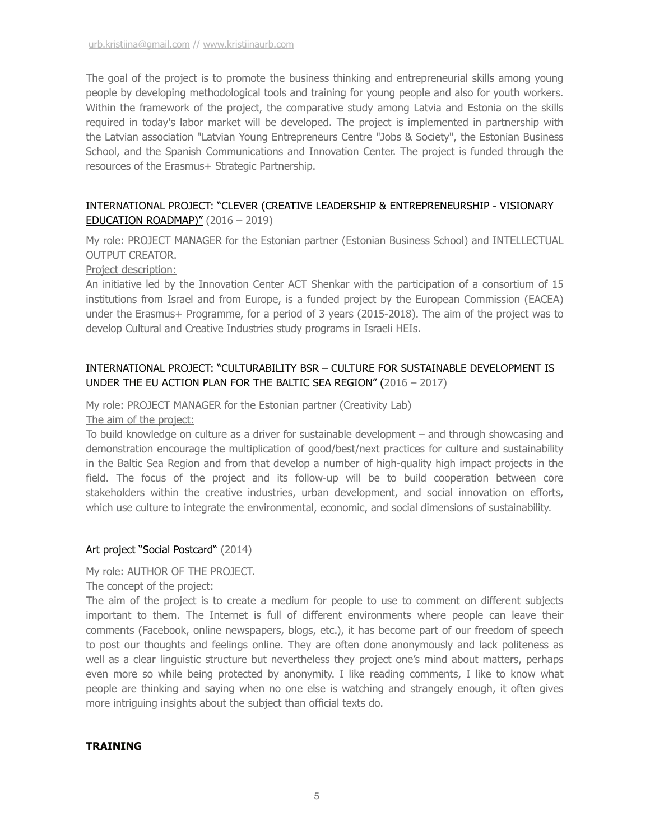The goal of the project is to promote the business thinking and entrepreneurial skills among young people by developing methodological tools and training for young people and also for youth workers. Within the framework of the project, the comparative study among Latvia and Estonia on the skills required in today's labor market will be developed. The project is implemented in partnership with the Latvian association "Latvian Young Entrepreneurs Centre "Jobs & Society", the Estonian Business School, and the Spanish Communications and Innovation Center. The project is funded through the resources of the Erasmus+ Strategic Partnership.

#### INTERNATIONAL PROJECT: ["CLEVER \(CREATIVE LEADERSHIP & ENTREPRENEURSHIP - VISIONARY](https://clever.erasmus-plus.org.il/)  [EDUCATION ROADMAP\)"](https://clever.erasmus-plus.org.il/) (2016 – 2019)

My role: PROJECT MANAGER for the Estonian partner (Estonian Business School) and INTELLECTUAL OUTPUT CREATOR.

## Project description:

An initiative led by the Innovation Center ACT Shenkar with the participation of a consortium of 15 institutions from Israel and from Europe, is a funded project by the European Commission (EACEA) under the Erasmus+ Programme, for a period of 3 years (2015-2018). The aim of the project was to develop Cultural and Creative Industries study programs in Israeli HEIs.

# INTERNATIONAL PROJECT: "CULTURABILITY BSR – CULTURE FOR SUSTAINABLE DEVELOPMENT IS UNDER THE EU ACTION PLAN FOR THE BALTIC SEA REGION" (2016 – 2017)

# My role: PROJECT MANAGER for the Estonian partner (Creativity Lab)

The aim of the project:

To build knowledge on culture as a driver for sustainable development – and through showcasing and demonstration encourage the multiplication of good/best/next practices for culture and sustainability in the Baltic Sea Region and from that develop a number of high-quality high impact projects in the field. The focus of the project and its follow-up will be to build cooperation between core stakeholders within the creative industries, urban development, and social innovation on efforts, which use culture to integrate the environmental, economic, and social dimensions of sustainability.

# Art project ["Social Postcard"](https://socialpostcard.weebly.com/) (2014)

My role: AUTHOR OF THE PROJECT.

The concept of the project:

The aim of the project is to create a medium for people to use to comment on different subjects important to them. The Internet is full of different environments where people can leave their comments (Facebook, online newspapers, blogs, etc.), it has become part of our freedom of speech to post our thoughts and feelings online. They are often done anonymously and lack politeness as well as a clear linguistic structure but nevertheless they project one's mind about matters, perhaps even more so while being protected by anonymity. I like reading comments, I like to know what people are thinking and saying when no one else is watching and strangely enough, it often gives more intriguing insights about the subject than official texts do.

# **TRAINING**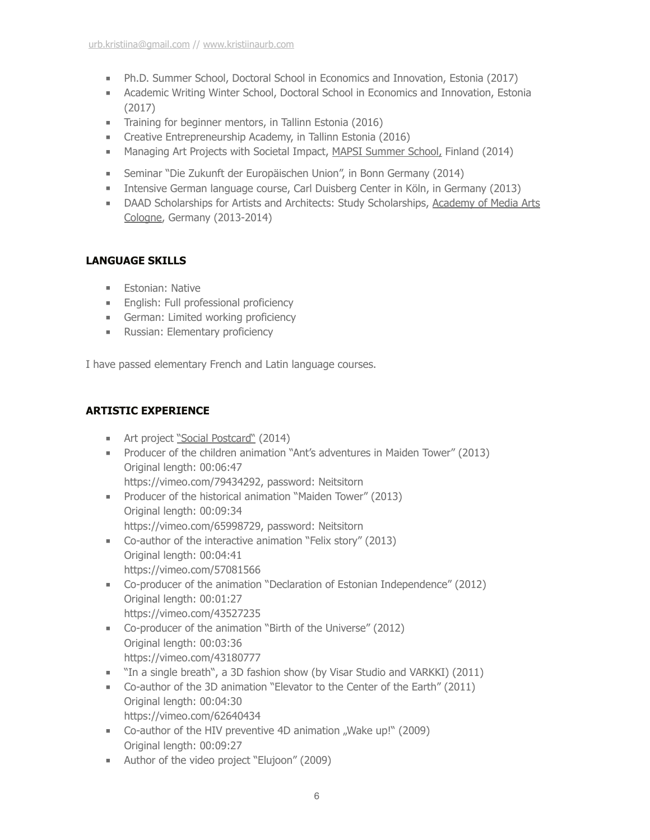- Ph.D. Summer School, Doctoral School in Economics and Innovation, Estonia (2017)
- Academic Writing Winter School, Doctoral School in Economics and Innovation, Estonia (2017)
- Training for beginner mentors, in Tallinn Estonia (2016)
- Creative Entrepreneurship Academy, in Tallinn Estonia (2016)
- Managing Art Projects with Societal Impact, [MAPSI Summer School,](http://www.mapsi.eu/mapsi/) Finland (2014)
- Seminar "Die Zukunft der Europäischen Union", in Bonn Germany (2014)
- Intensive German language course, Carl Duisberg Center in Köln, in Germany (2013)
- DAAD Scholarships for Artists and Architects: Study Scholarships, [Academy of Media Arts](https://en.khm.de/home/)  [Cologne,](https://en.khm.de/home/) Germany (2013-2014)

# **LANGUAGE SKILLS**

- Estonian: Native
- English: Full professional proficiency
- German: Limited working proficiency
- Russian: Elementary proficiency

I have passed elementary French and Latin language courses.

# **ARTISTIC EXPERIENCE**

- Art project ["Social Postcard"](https://socialpostcard.weebly.com/) (2014)
- Producer of the children animation "Ant's adventures in Maiden Tower" (2013) Original length: 00:06:47 https://vimeo.com/79434292, password: Neitsitorn
- Producer of the historical animation "Maiden Tower" (2013) Original length: 00:09:34 https://vimeo.com/65998729, password: Neitsitorn
- Co-author of the interactive animation "Felix story" (2013) Original length: 00:04:41 https://vimeo.com/57081566
- Co-producer of the animation "Declaration of Estonian Independence" (2012) Original length: 00:01:27 https://vimeo.com/43527235
- Co-producer of the animation "Birth of the Universe" (2012) Original length: 00:03:36 https://vimeo.com/43180777
- "In a single breath", a 3D fashion show (by Visar Studio and VARKKI) (2011)
- Co-author of the 3D animation "Elevator to the Center of the Earth" (2011) Original length: 00:04:30 https://vimeo.com/62640434
- Co-author of the HIV preventive 4D animation "Wake up!" (2009) Original length: 00:09:27
- Author of the video project "Elujoon" (2009)